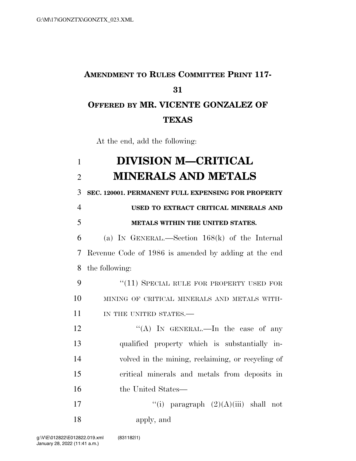## **AMENDMENT TO RULES COMMITTEE PRINT 117- 31 OFFERED BY MR. VICENTE GONZALEZ OF TEXAS**

At the end, add the following:

## 1 **DIVISION M—CRITICAL**  2 **MINERALS AND METALS**

3 **SEC. 120001. PERMANENT FULL EXPENSING FOR PROPERTY** 

## 4 **USED TO EXTRACT CRITICAL MINERALS AND**  5 **METALS WITHIN THE UNITED STATES.**

6 (a) IN GENERAL.—Section 168(k) of the Internal 7 Revenue Code of 1986 is amended by adding at the end 8 the following:

9 "(11) SPECIAL RULE FOR PROPERTY USED FOR 10 MINING OF CRITICAL MINERALS AND METALS WITH-11 IN THE UNITED STATES.—

12 "(A) In GENERAL.—In the case of any qualified property which is substantially in- volved in the mining, reclaiming, or recycling of critical minerals and metals from deposits in the United States—

17  $"(i)$  paragraph  $(2)(A)(iii)$  shall not 18 apply, and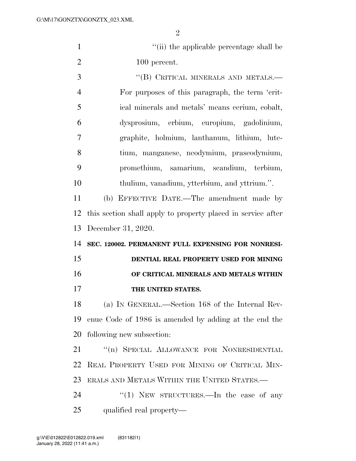| $\mathbf{1}$   | "(ii) the applicable percentage shall be                     |
|----------------|--------------------------------------------------------------|
| $\overline{2}$ | 100 percent.                                                 |
| 3              | "(B) CRITICAL MINERALS AND METALS.-                          |
| $\overline{4}$ | For purposes of this paragraph, the term 'crit-              |
| 5              | ical minerals and metals' means cerium, cobalt,              |
| 6              | dysprosium, erbium, europium, gadolinium,                    |
| $\tau$         | graphite, holmium, lanthanum, lithium, lute-                 |
| 8              | tium, manganese, neodymium, praseodymium,                    |
| 9              | promethium, samarium, scandium, terbium,                     |
| 10             | thulium, vanadium, ytterbium, and yttrium.".                 |
| 11             | (b) EFFECTIVE DATE.—The amendment made by                    |
| 12             | this section shall apply to property placed in service after |
| 13             | December 31, 2020.                                           |
|                |                                                              |
| 14             | SEC. 120002. PERMANENT FULL EXPENSING FOR NONRESI-           |
| 15             | DENTIAL REAL PROPERTY USED FOR MINING                        |
| 16             | OF CRITICAL MINERALS AND METALS WITHIN                       |
| 17             | THE UNITED STATES.                                           |
| 18             | (a) IN GENERAL.—Section 168 of the Internal Rev-             |
| 19             | enue Code of 1986 is amended by adding at the end the        |
| 20             | following new subsection:                                    |
| 21             | "(n) SPECIAL ALLOWANCE FOR NONRESIDENTIAL                    |
| 22             | REAL PROPERTY USED FOR MINING OF CRITICAL MIN-               |
| 23             | ERALS AND METALS WITHIN THE UNITED STATES.—                  |
| 24             | " $(1)$ NEW STRUCTURES.—In the case of any                   |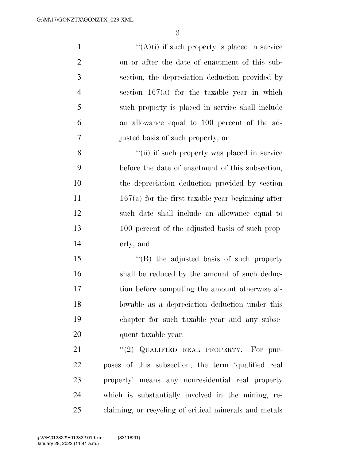$((A)(i)$  if such property is placed in service on or after the date of enactment of this sub- section, the depreciation deduction provided by section 167(a) for the taxable year in which such property is placed in service shall include an allowance equal to 100 percent of the ad- justed basis of such property, or ''(ii) if such property was placed in service before the date of enactment of this subsection, the depreciation deduction provided by section

11 167(a) for the first taxable year beginning after such date shall include an allowance equal to 100 percent of the adjusted basis of such prop-erty, and

15 "(B) the adjusted basis of such property 16 shall be reduced by the amount of such deduc- tion before computing the amount otherwise al- lowable as a depreciation deduction under this chapter for such taxable year and any subse-quent taxable year.

21 "(2) QUALIFIED REAL PROPERTY.—For pur- poses of this subsection, the term 'qualified real property' means any nonresidential real property which is substantially involved in the mining, re-claiming, or recycling of critical minerals and metals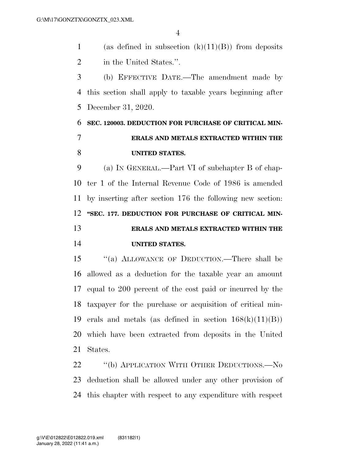1 (as defined in subsection  $(k)(11)(B)$ ) from deposits 2 in the United States.".

 (b) EFFECTIVE DATE.—The amendment made by this section shall apply to taxable years beginning after December 31, 2020.

## **SEC. 120003. DEDUCTION FOR PURCHASE OF CRITICAL MIN- ERALS AND METALS EXTRACTED WITHIN THE UNITED STATES.**

 (a) IN GENERAL.—Part VI of subchapter B of chap- ter 1 of the Internal Revenue Code of 1986 is amended by inserting after section 176 the following new section: **''SEC. 177. DEDUCTION FOR PURCHASE OF CRITICAL MIN- ERALS AND METALS EXTRACTED WITHIN THE UNITED STATES.** 

 ''(a) ALLOWANCE OF DEDUCTION.—There shall be allowed as a deduction for the taxable year an amount equal to 200 percent of the cost paid or incurred by the taxpayer for the purchase or acquisition of critical min-19 erals and metals (as defined in section  $168(k)(11)(B)$ ) which have been extracted from deposits in the United States.

22 "(b) APPLICATION WITH OTHER DEDUCTIONS.—No deduction shall be allowed under any other provision of this chapter with respect to any expenditure with respect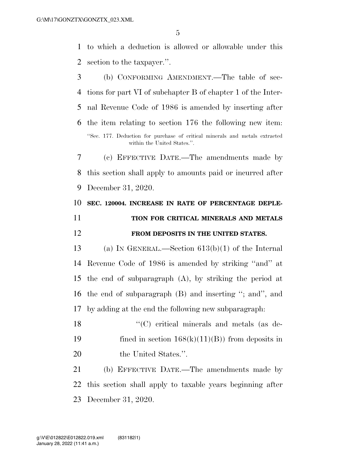to which a deduction is allowed or allowable under this section to the taxpayer.''.

 (b) CONFORMING AMENDMENT.—The table of sec- tions for part VI of subchapter B of chapter 1 of the Inter- nal Revenue Code of 1986 is amended by inserting after the item relating to section 176 the following new item: ''Sec. 177. Deduction for purchase of critical minerals and metals extracted within the United States.''. (c) EFFECTIVE DATE.—The amendments made by this section shall apply to amounts paid or incurred after December 31, 2020. **SEC. 120004. INCREASE IN RATE OF PERCENTAGE DEPLE- TION FOR CRITICAL MINERALS AND METALS FROM DEPOSITS IN THE UNITED STATES.**  (a) IN GENERAL.—Section 613(b)(1) of the Internal Revenue Code of 1986 is amended by striking ''and'' at the end of subparagraph (A), by striking the period at the end of subparagraph (B) and inserting ''; and'', and by adding at the end the following new subparagraph: ''(C) critical minerals and metals (as de-19 fined in section  $168(k)(11)(B)$  from deposits in 20 the United States.". (b) EFFECTIVE DATE.—The amendments made by this section shall apply to taxable years beginning after

December 31, 2020.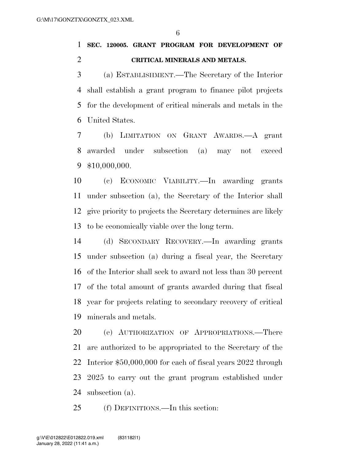**SEC. 120005. GRANT PROGRAM FOR DEVELOPMENT OF CRITICAL MINERALS AND METALS.** 

 (a) ESTABLISHMENT.—The Secretary of the Interior shall establish a grant program to finance pilot projects for the development of critical minerals and metals in the United States.

 (b) LIMITATION ON GRANT AWARDS.—A grant awarded under subsection (a) may not exceed \$10,000,000.

 (c) ECONOMIC VIABILITY.—In awarding grants under subsection (a), the Secretary of the Interior shall give priority to projects the Secretary determines are likely to be economically viable over the long term.

 (d) SECONDARY RECOVERY.—In awarding grants under subsection (a) during a fiscal year, the Secretary of the Interior shall seek to award not less than 30 percent of the total amount of grants awarded during that fiscal year for projects relating to secondary recovery of critical minerals and metals.

 (e) AUTHORIZATION OF APPROPRIATIONS.—There are authorized to be appropriated to the Secretary of the Interior \$50,000,000 for each of fiscal years 2022 through 2025 to carry out the grant program established under subsection (a).

(f) DEFINITIONS.—In this section: